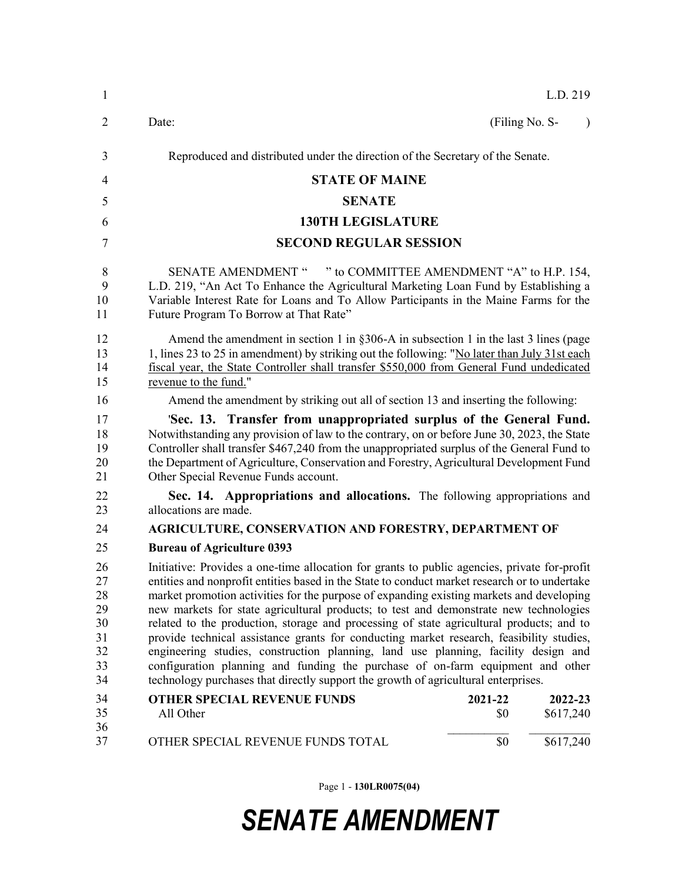| $\mathbf{1}$                                       |                                                                                                                                                                                                                                                                                                                                                                                                                                                                                                                                                                                                                                                                                                                                                                                                                                          |                               | L.D. 219  |  |
|----------------------------------------------------|------------------------------------------------------------------------------------------------------------------------------------------------------------------------------------------------------------------------------------------------------------------------------------------------------------------------------------------------------------------------------------------------------------------------------------------------------------------------------------------------------------------------------------------------------------------------------------------------------------------------------------------------------------------------------------------------------------------------------------------------------------------------------------------------------------------------------------------|-------------------------------|-----------|--|
| $\overline{2}$                                     | Date:                                                                                                                                                                                                                                                                                                                                                                                                                                                                                                                                                                                                                                                                                                                                                                                                                                    | (Filing No. S-                | $\lambda$ |  |
| 3                                                  | Reproduced and distributed under the direction of the Secretary of the Senate.                                                                                                                                                                                                                                                                                                                                                                                                                                                                                                                                                                                                                                                                                                                                                           |                               |           |  |
| 4                                                  | <b>STATE OF MAINE</b>                                                                                                                                                                                                                                                                                                                                                                                                                                                                                                                                                                                                                                                                                                                                                                                                                    |                               |           |  |
| 5                                                  | <b>SENATE</b>                                                                                                                                                                                                                                                                                                                                                                                                                                                                                                                                                                                                                                                                                                                                                                                                                            |                               |           |  |
| 6                                                  | <b>130TH LEGISLATURE</b>                                                                                                                                                                                                                                                                                                                                                                                                                                                                                                                                                                                                                                                                                                                                                                                                                 |                               |           |  |
| 7                                                  |                                                                                                                                                                                                                                                                                                                                                                                                                                                                                                                                                                                                                                                                                                                                                                                                                                          | <b>SECOND REGULAR SESSION</b> |           |  |
| 8<br>9<br>10<br>11                                 | " to COMMITTEE AMENDMENT "A" to H.P. 154,<br><b>SENATE AMENDMENT "</b><br>L.D. 219, "An Act To Enhance the Agricultural Marketing Loan Fund by Establishing a<br>Variable Interest Rate for Loans and To Allow Participants in the Maine Farms for the<br>Future Program To Borrow at That Rate"                                                                                                                                                                                                                                                                                                                                                                                                                                                                                                                                         |                               |           |  |
| 12<br>13<br>14<br>15                               | Amend the amendment in section 1 in $\S 306-A$ in subsection 1 in the last 3 lines (page<br>1, lines 23 to 25 in amendment) by striking out the following: "No later than July 31st each<br>fiscal year, the State Controller shall transfer \$550,000 from General Fund undedicated<br>revenue to the fund."                                                                                                                                                                                                                                                                                                                                                                                                                                                                                                                            |                               |           |  |
| 16                                                 | Amend the amendment by striking out all of section 13 and inserting the following:                                                                                                                                                                                                                                                                                                                                                                                                                                                                                                                                                                                                                                                                                                                                                       |                               |           |  |
| 17<br>18<br>19<br>20<br>21                         | 'Sec. 13. Transfer from unappropriated surplus of the General Fund.<br>Notwithstanding any provision of law to the contrary, on or before June 30, 2023, the State<br>Controller shall transfer \$467,240 from the unappropriated surplus of the General Fund to<br>the Department of Agriculture, Conservation and Forestry, Agricultural Development Fund<br>Other Special Revenue Funds account.                                                                                                                                                                                                                                                                                                                                                                                                                                      |                               |           |  |
| 22<br>23                                           | Sec. 14. Appropriations and allocations. The following appropriations and<br>allocations are made.                                                                                                                                                                                                                                                                                                                                                                                                                                                                                                                                                                                                                                                                                                                                       |                               |           |  |
| 24                                                 | <b>AGRICULTURE, CONSERVATION AND FORESTRY, DEPARTMENT OF</b>                                                                                                                                                                                                                                                                                                                                                                                                                                                                                                                                                                                                                                                                                                                                                                             |                               |           |  |
| 25                                                 | <b>Bureau of Agriculture 0393</b>                                                                                                                                                                                                                                                                                                                                                                                                                                                                                                                                                                                                                                                                                                                                                                                                        |                               |           |  |
| 26<br>27<br>28<br>29<br>30<br>31<br>32<br>33<br>34 | Initiative: Provides a one-time allocation for grants to public agencies, private for-profit<br>entities and nonprofit entities based in the State to conduct market research or to undertake<br>market promotion activities for the purpose of expanding existing markets and developing<br>new markets for state agricultural products; to test and demonstrate new technologies<br>related to the production, storage and processing of state agricultural products; and to<br>provide technical assistance grants for conducting market research, feasibility studies,<br>engineering studies, construction planning, land use planning, facility design and<br>configuration planning and funding the purchase of on-farm equipment and other<br>technology purchases that directly support the growth of agricultural enterprises. |                               |           |  |
| 34                                                 | <b>OTHER SPECIAL REVENUE FUNDS</b>                                                                                                                                                                                                                                                                                                                                                                                                                                                                                                                                                                                                                                                                                                                                                                                                       | 2021-22                       | 2022-23   |  |
| 35<br>36                                           | All Other                                                                                                                                                                                                                                                                                                                                                                                                                                                                                                                                                                                                                                                                                                                                                                                                                                | \$0                           | \$617,240 |  |
| 37                                                 | OTHER SPECIAL REVENUE FUNDS TOTAL                                                                                                                                                                                                                                                                                                                                                                                                                                                                                                                                                                                                                                                                                                                                                                                                        | \$0                           | \$617,240 |  |

Page 1 - **130LR0075(04)**